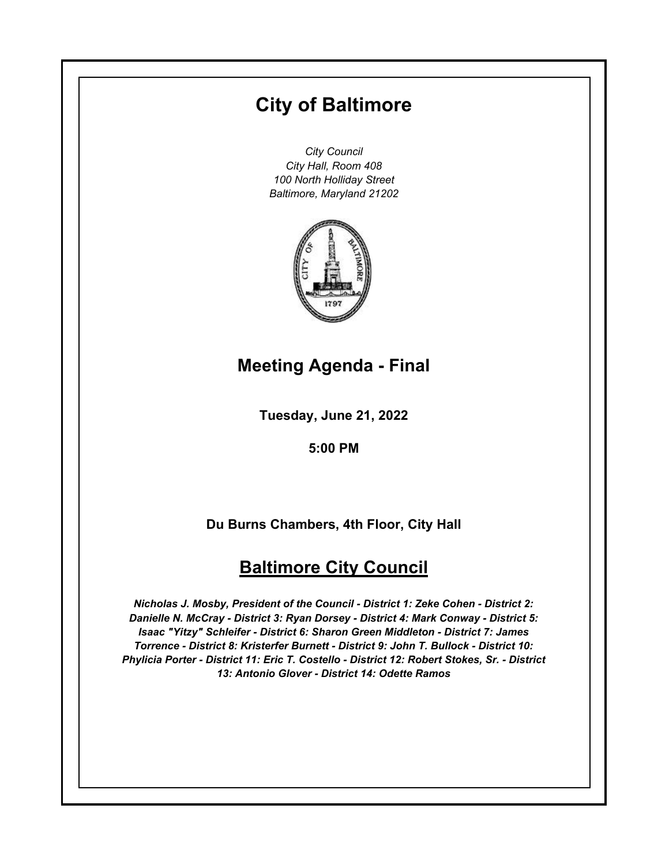# **City of Baltimore**

*City Council City Hall, Room 408 100 North Holliday Street Baltimore, Maryland 21202*



# **Meeting Agenda - Final**

**Tuesday, June 21, 2022**

**5:00 PM**

**Du Burns Chambers, 4th Floor, City Hall**

# **Baltimore City Council**

*Nicholas J. Mosby, President of the Council - District 1: Zeke Cohen - District 2: Danielle N. McCray - District 3: Ryan Dorsey - District 4: Mark Conway - District 5: Isaac "Yitzy" Schleifer - District 6: Sharon Green Middleton - District 7: James Torrence - District 8: Kristerfer Burnett - District 9: John T. Bullock - District 10: Phylicia Porter - District 11: Eric T. Costello - District 12: Robert Stokes, Sr. - District 13: Antonio Glover - District 14: Odette Ramos*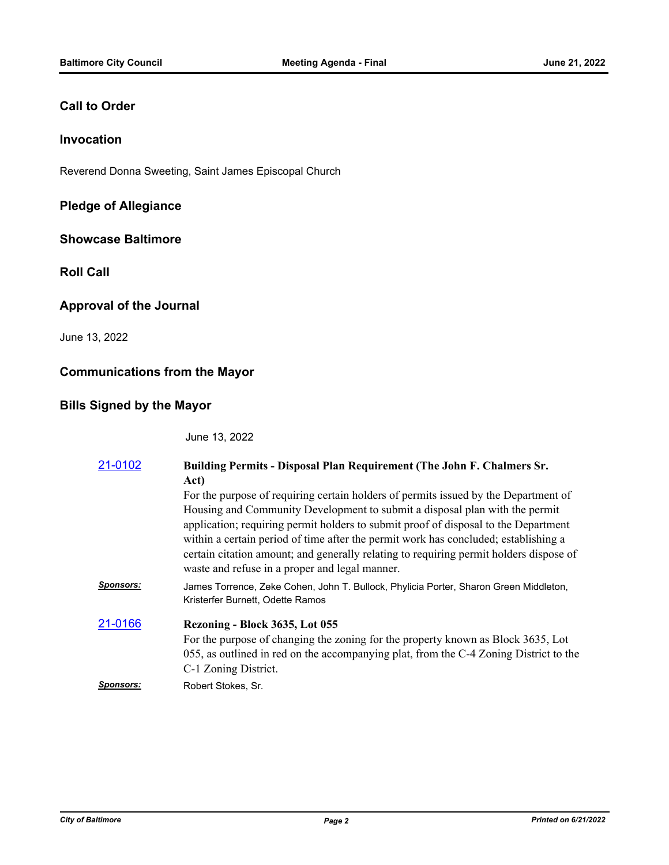#### **Call to Order**

### **Invocation**

Reverend Donna Sweeting, Saint James Episcopal Church

# **Pledge of Allegiance**

#### **Showcase Baltimore**

**Roll Call**

#### **Approval of the Journal**

June 13, 2022

#### **Communications from the Mayor**

# **Bills Signed by the Mayor**

June 13, 2022

| 21-0102   | Building Permits - Disposal Plan Requirement (The John F. Chalmers Sr.<br>Act)                                                                                                                                                                                                                                                                                                                                                                                                               |
|-----------|----------------------------------------------------------------------------------------------------------------------------------------------------------------------------------------------------------------------------------------------------------------------------------------------------------------------------------------------------------------------------------------------------------------------------------------------------------------------------------------------|
|           | For the purpose of requiring certain holders of permits issued by the Department of<br>Housing and Community Development to submit a disposal plan with the permit<br>application; requiring permit holders to submit proof of disposal to the Department<br>within a certain period of time after the permit work has concluded; establishing a<br>certain citation amount; and generally relating to requiring permit holders dispose of<br>waste and refuse in a proper and legal manner. |
| Sponsors: | James Torrence, Zeke Cohen, John T. Bullock, Phylicia Porter, Sharon Green Middleton,<br>Kristerfer Burnett, Odette Ramos                                                                                                                                                                                                                                                                                                                                                                    |
| 21-0166   | Rezoning - Block 3635, Lot 055<br>For the purpose of changing the zoning for the property known as Block 3635, Lot<br>055, as outlined in red on the accompanying plat, from the C-4 Zoning District to the<br>C-1 Zoning District.                                                                                                                                                                                                                                                          |
| Sponsors: | Robert Stokes, Sr.                                                                                                                                                                                                                                                                                                                                                                                                                                                                           |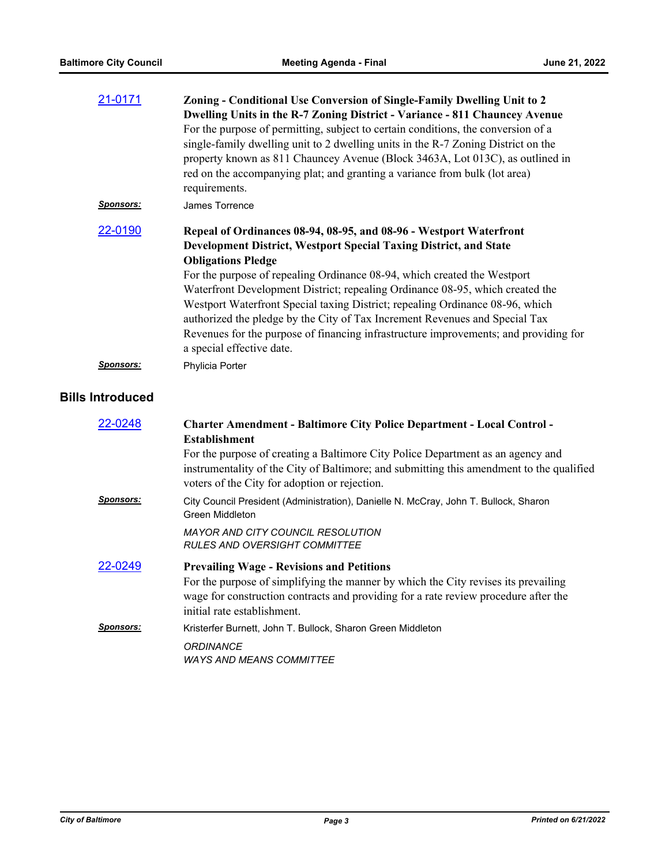| 21-0171           | Zoning - Conditional Use Conversion of Single-Family Dwelling Unit to 2<br>Dwelling Units in the R-7 Zoning District - Variance - 811 Chauncey Avenue<br>For the purpose of permitting, subject to certain conditions, the conversion of a<br>single-family dwelling unit to 2 dwelling units in the R-7 Zoning District on the<br>property known as 811 Chauncey Avenue (Block 3463A, Lot 013C), as outlined in<br>red on the accompanying plat; and granting a variance from bulk (lot area)<br>requirements.                                                                                                        |
|-------------------|------------------------------------------------------------------------------------------------------------------------------------------------------------------------------------------------------------------------------------------------------------------------------------------------------------------------------------------------------------------------------------------------------------------------------------------------------------------------------------------------------------------------------------------------------------------------------------------------------------------------|
| <u>Sponsors:</u>  | James Torrence                                                                                                                                                                                                                                                                                                                                                                                                                                                                                                                                                                                                         |
| 22-0190           | Repeal of Ordinances 08-94, 08-95, and 08-96 - Westport Waterfront<br>Development District, Westport Special Taxing District, and State<br><b>Obligations Pledge</b><br>For the purpose of repealing Ordinance 08-94, which created the Westport<br>Waterfront Development District; repealing Ordinance 08-95, which created the<br>Westport Waterfront Special taxing District; repealing Ordinance 08-96, which<br>authorized the pledge by the City of Tax Increment Revenues and Special Tax<br>Revenues for the purpose of financing infrastructure improvements; and providing for<br>a special effective date. |
| <u>Sponsors:</u>  | Phylicia Porter                                                                                                                                                                                                                                                                                                                                                                                                                                                                                                                                                                                                        |
| <b>Introduced</b> |                                                                                                                                                                                                                                                                                                                                                                                                                                                                                                                                                                                                                        |
| 22-0248           | <b>Charter Amendment - Baltimore City Police Department - Local Control -</b><br><b>Establishment</b><br>For the purpose of creating a Baltimore City Police Department as an agency and<br>instrumentality of the City of Baltimore; and submitting this amendment to the qualified<br>voters of the City for adoption or rejection.                                                                                                                                                                                                                                                                                  |
| <u>Sponsors:</u>  | City Council President (Administration), Danielle N. McCray, John T. Bullock, Sharon<br><b>Green Middleton</b>                                                                                                                                                                                                                                                                                                                                                                                                                                                                                                         |
|                   | <b>MAYOR AND CITY COUNCIL RESOLUTION</b><br><b>RULES AND OVERSIGHT COMMITTEE</b>                                                                                                                                                                                                                                                                                                                                                                                                                                                                                                                                       |
| 22-0249           | <b>Prevailing Wage - Revisions and Petitions</b><br>For the purpose of simplifying the manner by which the City revises its prevailing<br>wage for construction contracts and providing for a rate review procedure after the<br>initial rate establishment.                                                                                                                                                                                                                                                                                                                                                           |
| <u>Sponsors:</u>  | Kristerfer Burnett, John T. Bullock, Sharon Green Middleton                                                                                                                                                                                                                                                                                                                                                                                                                                                                                                                                                            |
|                   | <b>ORDINANCE</b><br><b>WAYS AND MEANS COMMITTEE</b>                                                                                                                                                                                                                                                                                                                                                                                                                                                                                                                                                                    |

**Bills**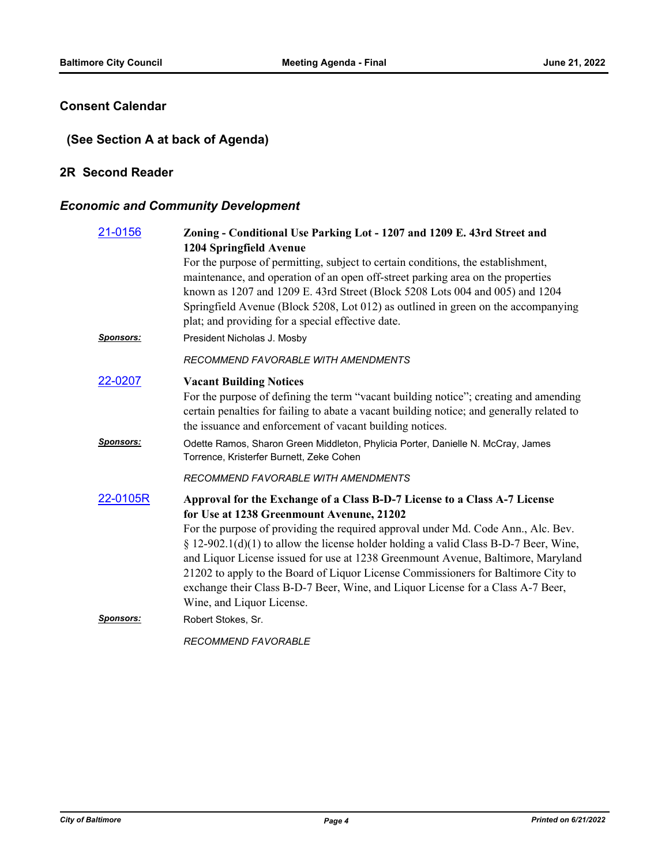### **Consent Calendar**

# **(See Section A at back of Agenda)**

#### **2R Second Reader**

# *Economic and Community Development*

| 21-0156          | Zoning - Conditional Use Parking Lot - 1207 and 1209 E. 43rd Street and<br>1204 Springfield Avenue                                                                                                                                                                                                                                                                                                                                                                    |
|------------------|-----------------------------------------------------------------------------------------------------------------------------------------------------------------------------------------------------------------------------------------------------------------------------------------------------------------------------------------------------------------------------------------------------------------------------------------------------------------------|
|                  | For the purpose of permitting, subject to certain conditions, the establishment,<br>maintenance, and operation of an open off-street parking area on the properties<br>known as 1207 and 1209 E. 43rd Street (Block 5208 Lots 004 and 005) and 1204<br>Springfield Avenue (Block 5208, Lot 012) as outlined in green on the accompanying<br>plat; and providing for a special effective date.                                                                         |
| <b>Sponsors:</b> | President Nicholas J. Mosby                                                                                                                                                                                                                                                                                                                                                                                                                                           |
|                  | <b>RECOMMEND FAVORABLE WITH AMENDMENTS</b>                                                                                                                                                                                                                                                                                                                                                                                                                            |
| 22-0207          | <b>Vacant Building Notices</b><br>For the purpose of defining the term "vacant building notice"; creating and amending<br>certain penalties for failing to abate a vacant building notice; and generally related to<br>the issuance and enforcement of vacant building notices.                                                                                                                                                                                       |
| Sponsors:        | Odette Ramos, Sharon Green Middleton, Phylicia Porter, Danielle N. McCray, James<br>Torrence, Kristerfer Burnett, Zeke Cohen                                                                                                                                                                                                                                                                                                                                          |
|                  | RECOMMEND FAVORABLE WITH AMENDMENTS                                                                                                                                                                                                                                                                                                                                                                                                                                   |
| 22-0105R         | Approval for the Exchange of a Class B-D-7 License to a Class A-7 License<br>for Use at 1238 Greenmount Avenune, 21202                                                                                                                                                                                                                                                                                                                                                |
|                  | For the purpose of providing the required approval under Md. Code Ann., Alc. Bev.<br>$\S 12-902.1(d)(1)$ to allow the license holder holding a valid Class B-D-7 Beer, Wine,<br>and Liquor License issued for use at 1238 Greenmount Avenue, Baltimore, Maryland<br>21202 to apply to the Board of Liquor License Commissioners for Baltimore City to<br>exchange their Class B-D-7 Beer, Wine, and Liquor License for a Class A-7 Beer,<br>Wine, and Liquor License. |
| <b>Sponsors:</b> | Robert Stokes, Sr.                                                                                                                                                                                                                                                                                                                                                                                                                                                    |
|                  | <b>RECOMMEND FAVORABLE</b>                                                                                                                                                                                                                                                                                                                                                                                                                                            |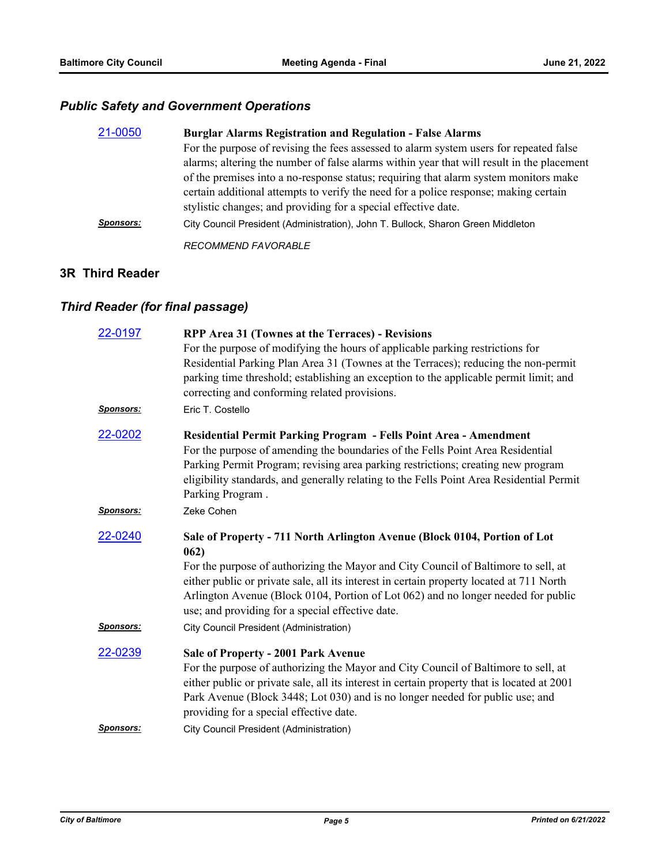# *Public Safety and Government Operations*

| 21-0050          | <b>Burglar Alarms Registration and Regulation - False Alarms</b>                          |
|------------------|-------------------------------------------------------------------------------------------|
|                  | For the purpose of revising the fees assessed to alarm system users for repeated false    |
|                  | alarms; altering the number of false alarms within year that will result in the placement |
|                  | of the premises into a no-response status; requiring that alarm system monitors make      |
|                  | certain additional attempts to verify the need for a police response; making certain      |
|                  | stylistic changes; and providing for a special effective date.                            |
| <b>Sponsors:</b> | City Council President (Administration), John T. Bullock, Sharon Green Middleton          |
|                  | <b>RECOMMEND FAVORABLE</b>                                                                |

#### **3R Third Reader**

# *Third Reader (for final passage)*

| 22-0197          | RPP Area 31 (Townes at the Terraces) - Revisions<br>For the purpose of modifying the hours of applicable parking restrictions for                                                                                                                                                                                                                           |
|------------------|-------------------------------------------------------------------------------------------------------------------------------------------------------------------------------------------------------------------------------------------------------------------------------------------------------------------------------------------------------------|
|                  | Residential Parking Plan Area 31 (Townes at the Terraces); reducing the non-permit<br>parking time threshold; establishing an exception to the applicable permit limit; and<br>correcting and conforming related provisions.                                                                                                                                |
| <b>Sponsors:</b> | Eric T. Costello                                                                                                                                                                                                                                                                                                                                            |
| 22-0202          | Residential Permit Parking Program - Fells Point Area - Amendment<br>For the purpose of amending the boundaries of the Fells Point Area Residential<br>Parking Permit Program; revising area parking restrictions; creating new program<br>eligibility standards, and generally relating to the Fells Point Area Residential Permit<br>Parking Program.     |
| <b>Sponsors:</b> | Zeke Cohen                                                                                                                                                                                                                                                                                                                                                  |
| 22-0240          | Sale of Property - 711 North Arlington Avenue (Block 0104, Portion of Lot<br>062)                                                                                                                                                                                                                                                                           |
|                  | For the purpose of authorizing the Mayor and City Council of Baltimore to sell, at<br>either public or private sale, all its interest in certain property located at 711 North<br>Arlington Avenue (Block 0104, Portion of Lot 062) and no longer needed for public<br>use; and providing for a special effective date.                                     |
| <b>Sponsors:</b> | <b>City Council President (Administration)</b>                                                                                                                                                                                                                                                                                                              |
| 22-0239          | <b>Sale of Property - 2001 Park Avenue</b><br>For the purpose of authorizing the Mayor and City Council of Baltimore to sell, at<br>either public or private sale, all its interest in certain property that is located at 2001<br>Park Avenue (Block 3448; Lot 030) and is no longer needed for public use; and<br>providing for a special effective date. |
| <b>Sponsors:</b> | <b>City Council President (Administration)</b>                                                                                                                                                                                                                                                                                                              |